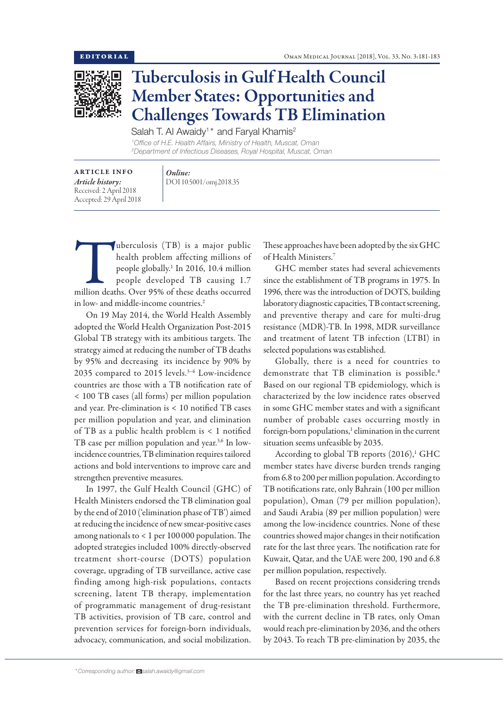

## Tuberculosis in Gulf Health Council Member States: Opportunities and Challenges Towards TB Elimination

Salah T. Al Awaidy<sup>1\*</sup> and Faryal Khamis<sup>2</sup>

*1 Office of H.E. Health Affairs, Ministry of Health, Muscat, Oman 2 Department of Infectious Diseases, Royal Hospital, Muscat, Oman*

| <b>ARTICLE INFO</b>     |
|-------------------------|
| Article history:        |
| Received: 2 April 2018  |
| Accepted: 29 April 2018 |

*Online:* DOI 10.5001/omj.2018.35

Weberculosis (TB) is a major public<br>
health problem affecting millions of<br>
people globally.<sup>1</sup> In 2016, 10.4 million<br>
people developed TB causing 1.7<br>
million deaths. Over 95% of these deaths occurred health problem affecting millions of people globally.1 In 2016, 10.4 million people developed TB causing 1.7 in low- and middle-income countries.<sup>2</sup>

On 19 May 2014, the World Health Assembly adopted the World Health Organization Post-2015 Global TB strategy with its ambitious targets. The strategy aimed at reducing the number of TB deaths by 95% and decreasing its incidence by 90% by 2035 compared to 2015 levels.<sup>3-6</sup> Low-incidence countries are those with a TB notification rate of < 100 TB cases (all forms) per million population and year. Pre-elimination is < 10 notified TB cases per million population and year, and elimination of TB as a public health problem is < 1 notified TB case per million population and year.<sup>3,6</sup> In lowincidence countries, TB elimination requires tailored actions and bold interventions to improve care and strengthen preventive measures.

In 1997, the Gulf Health Council (GHC) of Health Ministers endorsed the TB elimination goal by the end of 2010 ('elimination phase of TB') aimed at reducing the incidence of new smear-positive cases among nationals to < 1 per 100 000 population. The adopted strategies included 100% directly-observed treatment short-course (DOTS) population coverage, upgrading of TB surveillance, active case finding among high-risk populations, contacts screening, latent TB therapy, implementation of programmatic management of drug-resistant TB activities, provision of TB care, control and prevention services for foreign-born individuals, advocacy, communication, and social mobilization.

These approaches have been adopted by the six GHC of Health Ministers.7

GHC member states had several achievements since the establishment of TB programs in 1975. In 1996, there was the introduction of DOTS, building laboratory diagnostic capacities, TB contact screening, and preventive therapy and care for multi-drug resistance (MDR)-TB. In 1998, MDR surveillance and treatment of latent TB infection (LTBI) in selected populations was established.

Globally, there is a need for countries to demonstrate that TB elimination is possible.<sup>8</sup> Based on our regional TB epidemiology, which is characterized by the low incidence rates observed in some GHC member states and with a significant number of probable cases occurring mostly in foreign-born populations,<sup>1</sup> elimination in the current situation seems unfeasible by 2035.

According to global TB reports  $(2016),^1$  GHC member states have diverse burden trends ranging from 6.8 to 200 per million population. According to TB notifications rate, only Bahrain (100 per million population), Oman (79 per million population), and Saudi Arabia (89 per million population) were among the low-incidence countries. None of these countries showed major changes in their notification rate for the last three years. The notification rate for Kuwait, Qatar, and the UAE were 200, 190 and 6.8 per million population, respectively.

Based on recent projections considering trends for the last three years, no country has yet reached the TB pre-elimination threshold. Furthermore, with the current decline in TB rates, only Oman would reach pre-elimination by 2036, and the others by 2043. To reach TB pre-elimination by 2035, the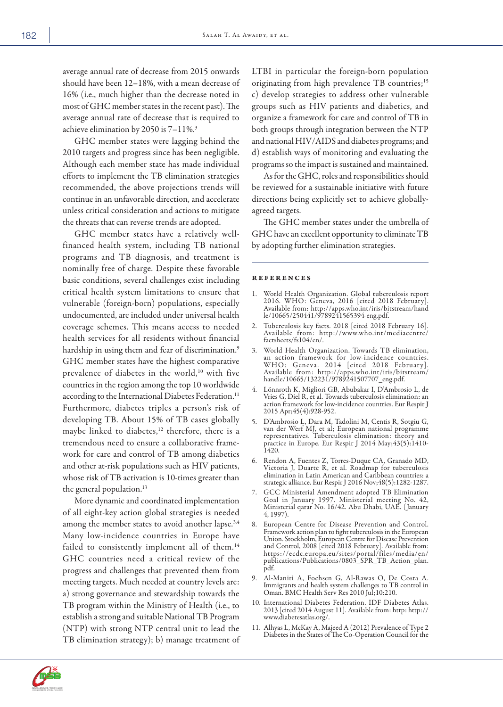average annual rate of decrease from 2015 onwards should have been 12–18%, with a mean decrease of 16% (i.e., much higher than the decrease noted in most of GHC member states in the recent past). The average annual rate of decrease that is required to achieve elimination by 2050 is 7–11%.3

GHC member states were lagging behind the 2010 targets and progress since has been negligible. Although each member state has made individual efforts to implement the TB elimination strategies recommended, the above projections trends will continue in an unfavorable direction, and accelerate unless critical consideration and actions to mitigate the threats that can reverse trends are adopted.

GHC member states have a relatively wellfinanced health system, including TB national programs and TB diagnosis, and treatment is nominally free of charge. Despite these favorable basic conditions, several challenges exist including critical health system limitations to ensure that vulnerable (foreign-born) populations, especially undocumented, are included under universal health coverage schemes. This means access to needed health services for all residents without financial hardship in using them and fear of discrimination.<sup>9</sup> GHC member states have the highest comparative prevalence of diabetes in the world,<sup>10</sup> with five countries in the region among the top 10 worldwide according to the International Diabetes Federation.<sup>11</sup> Furthermore, diabetes triples a person's risk of developing TB. About 15% of TB cases globally maybe linked to diabetes,<sup>12</sup> therefore, there is a tremendous need to ensure a collaborative framework for care and control of TB among diabetics and other at-risk populations such as HIV patients, whose risk of TB activation is 10-times greater than the general population.<sup>13</sup>

More dynamic and coordinated implementation of all eight-key action global strategies is needed among the member states to avoid another lapse.<sup>3,4</sup> Many low-incidence countries in Europe have failed to consistently implement all of them.<sup>14</sup> GHC countries need a critical review of the progress and challenges that prevented them from meeting targets. Much needed at country levels are: a) strong governance and stewardship towards the TB program within the Ministry of Health (i.e., to establish a strong and suitable National TB Program (NTP) with strong NTP central unit to lead the TB elimination strategy); b) manage treatment of LTBI in particular the foreign-born population originating from high prevalence TB countries;<sup>15</sup> c) develop strategies to address other vulnerable groups such as HIV patients and diabetics, and organize a framework for care and control of TB in both groups through integration between the NTP and national HIV/AIDS and diabetes programs; and d) establish ways of monitoring and evaluating the programs so the impact is sustained and maintained.

As for the GHC, roles and responsibilities should be reviewed for a sustainable initiative with future directions being explicitly set to achieve globallyagreed targets.

The GHC member states under the umbrella of GHC have an excellent opportunity to eliminate TB by adopting further elimination strategies.

## references

- 1. World Health Organization. Global tuberculosis report 2016. WHO: Geneva, 2016 [cited 2018 February]. Available from: http://apps.who.int/iris/bitstream/hand le/10665/250441/9789241565394-eng.pdf.
- 2. Tuberculosis key facts. 2018 [cited 2018 February 16]. Available from: http://www.who.int/mediacentre/ factsheets/fs104/en/.
- 3. World Health Organization. Towards TB elimination, an action framework for low-incidence countries. WHO: Geneva. 2014 [cited 2018 February]. Available from: http://apps.who.int/iris/bitstream/ handle/10665/132231/9789241507707\_eng.pdf.
- 4. Lönnroth K, Migliori GB, Abubakar I, D'Ambrosio L, de Vries G, Diel R, et al. Towards tuberculosis elimination: an action framework for low-incidence countries. Eur Respir J 2015 Apr;45(4):928-952.
- 5. D'Ambrosio L, Dara M, Tadolini M, Centis R, Sotgiu G, van der Werf MJ, et al; European national programme representatives. Tuberculosis elimination: theory and practice in Europe. Eur Respir J 2014 May;43(5):1410- 1420.
- 6. Rendon A, Fuentes Z, Torres-Duque CA, Granado MD, Victoria J, Duarte R, et al. Roadmap for tuberculosis elimination in Latin American and Caribbean countries: a strategic alliance. Eur Respir J 2016 Nov;48(5):1282-1287.
- 7. GCC Ministerial Amendment adopted TB Elimination Goal in January 1997. Ministerial meeting No. 42, Ministerial qarar No. 16/42. Abu Dhabi, UAE. ( January 4, 1997).
- 8. European Centre for Disease Prevention and Control. Framework action plan to fight tuberculosis in the European Union. Stockholm, European Centre for Disease Prevention and Control, 2008 [cited 2018 February]. Available from: https://ecdc.europa.eu/sites/portal/files/media/en/ publications/Publications/0803\_SPR\_TB\_Action\_plan. pdf.
- 9. Al-Maniri A, Fochsen G, Al-Rawas O, De Costa A. Immigrants and health system challenges to TB control in Oman. BMC Health Serv Res 2010 Jul;10:210.
- 10. International Diabetes Federation. IDF Diabetes Atlas. 2013 [cited 2014 August 11]. Available from: http: http:// www.diabetesatlas.org/.
- 11. Alhyas L, McKay A, Majeed A (2012) Prevalence of Type 2 Diabetes in the States of The Co-Operation Council for the